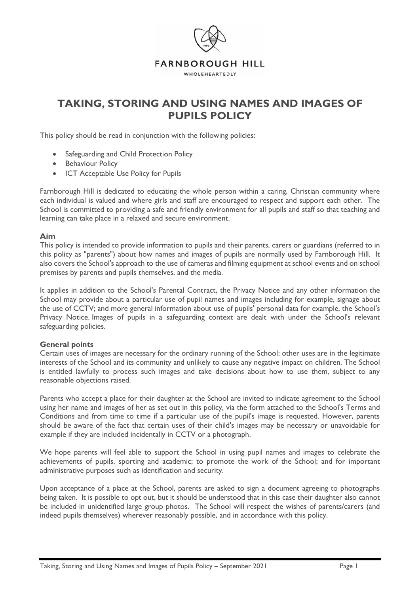

# **TAKING, STORING AND USING NAMES AND IMAGES OF PUPILS POLICY**

This policy should be read in conjunction with the following policies:

- Safeguarding and Child Protection Policy
- Behaviour Policy
- ICT Acceptable Use Policy for Pupils

Farnborough Hill is dedicated to educating the whole person within a caring, Christian community where each individual is valued and where girls and staff are encouraged to respect and support each other. The School is committed to providing a safe and friendly environment for all pupils and staff so that teaching and learning can take place in a relaxed and secure environment.

#### **Aim**

This policy is intended to provide information to pupils and their parents, carers or guardians (referred to in this policy as "parents") about how names and images of pupils are normally used by Farnborough Hill. It also covers the School's approach to the use of cameras and filming equipment at school events and on school premises by parents and pupils themselves, and the media.

It applies in addition to the School's Parental Contract, the Privacy Notice and any other information the School may provide about a particular use of pupil names and images including for example, signage about the use of CCTV; and more general information about use of pupils' personal data for example, the School's Privacy Notice. Images of pupils in a safeguarding context are dealt with under the School's relevant safeguarding policies.

#### **General points**

Certain uses of images are necessary for the ordinary running of the School; other uses are in the legitimate interests of the School and its community and unlikely to cause any negative impact on children. The School is entitled lawfully to process such images and take decisions about how to use them, subject to any reasonable objections raised.

Parents who accept a place for their daughter at the School are invited to indicate agreement to the School using her name and images of her as set out in this policy, via the form attached to the School's Terms and Conditions and from time to time if a particular use of the pupil's image is requested. However, parents should be aware of the fact that certain uses of their child's images may be necessary or unavoidable for example if they are included incidentally in CCTV or a photograph.

We hope parents will feel able to support the School in using pupil names and images to celebrate the achievements of pupils, sporting and academic; to promote the work of the School; and for important administrative purposes such as identification and security.

Upon acceptance of a place at the School, parents are asked to sign a document agreeing to photographs being taken. It is possible to opt out, but it should be understood that in this case their daughter also cannot be included in unidentified large group photos. The School will respect the wishes of parents/carers (and indeed pupils themselves) wherever reasonably possible, and in accordance with this policy.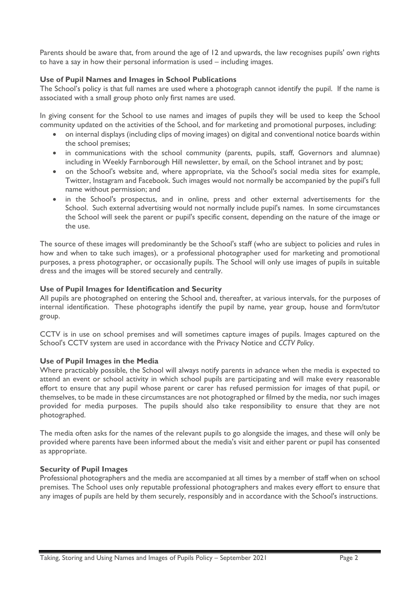Parents should be aware that, from around the age of 12 and upwards, the law recognises pupils' own rights to have a say in how their personal information is used – including images.

## **Use of Pupil Names and Images in School Publications**

The School's policy is that full names are used where a photograph cannot identify the pupil. If the name is associated with a small group photo only first names are used.

In giving consent for the School to use names and images of pupils they will be used to keep the School community updated on the activities of the School, and for marketing and promotional purposes, including:

- on internal displays (including clips of moving images) on digital and conventional notice boards within the school premises;
- in communications with the school community (parents, pupils, staff, Governors and alumnae) including in Weekly Farnborough Hill newsletter, by email, on the School intranet and by post;
- on the School's website and, where appropriate, via the School's social media sites for example, Twitter, Instagram and Facebook. Such images would not normally be accompanied by the pupil's full name without permission; and
- in the School's prospectus, and in online, press and other external advertisements for the School. Such external advertising would not normally include pupil's names. In some circumstances the School will seek the parent or pupil's specific consent, depending on the nature of the image or the use.

The source of these images will predominantly be the School's staff (who are subject to policies and rules in how and when to take such images), or a professional photographer used for marketing and promotional purposes, a press photographer, or occasionally pupils. The School will only use images of pupils in suitable dress and the images will be stored securely and centrally.

## **Use of Pupil Images for Identification and Security**

All pupils are photographed on entering the School and, thereafter, at various intervals, for the purposes of internal identification. These photographs identify the pupil by name, year group, house and form/tutor group.

CCTV is in use on school premises and will sometimes capture images of pupils. Images captured on the School's CCTV system are used in accordance with the Privacy Notice and *CCTV Policy*.

## **Use of Pupil Images in the Media**

Where practicably possible, the School will always notify parents in advance when the media is expected to attend an event or school activity in which school pupils are participating and will make every reasonable effort to ensure that any pupil whose parent or carer has refused permission for images of that pupil, or themselves, to be made in these circumstances are not photographed or filmed by the media, nor such images provided for media purposes. The pupils should also take responsibility to ensure that they are not photographed.

The media often asks for the names of the relevant pupils to go alongside the images, and these will only be provided where parents have been informed about the media's visit and either parent or pupil has consented as appropriate.

#### **Security of Pupil Images**

Professional photographers and the media are accompanied at all times by a member of staff when on school premises. The School uses only reputable professional photographers and makes every effort to ensure that any images of pupils are held by them securely, responsibly and in accordance with the School's instructions.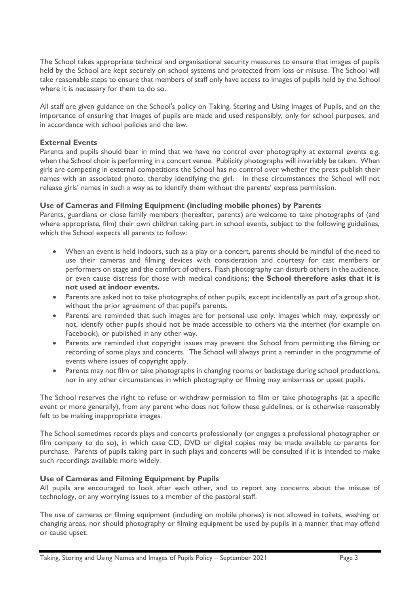The School takes appropriate technical and organisational security measures to ensure that images of pupils held by the School are kept securely on school systems and protected from loss or misuse. The School will take reasonable steps to ensure that members of staff only have access to images of pupils held by the School where it is necessary for them to do so.

All staff are given guidance on the School's policy on Taking, Storing and Using Images of Pupils, and on the importance of ensuring that images of pupils are made and used responsibly, only for school purposes, and in accordance with school policies and the law.

#### **External Events**

Parents and pupils should bear in mind that we have no control over photography at external events e.g. when the School choir is performing in a concert venue. Publicity photographs will invariably be taken. When girls are competing in external competitions the School has no control over whether the press publish their names with an associated photo, thereby identifying the girl. In these circumstances the School will not release girls' names in such a way as to identify them without the parents' express permission.

#### **Use of Cameras and Filming Equipment (including mobile phones) by Parents**

Parents, guardians or close family members (hereafter, parents) are welcome to take photographs of (and where appropriate, film) their own children taking part in school events, subject to the following guidelines, which the School expects all parents to follow:

- When an event is held indoors, such as a play or a concert, parents should be mindful of the need to use their cameras and filming devices with consideration and courtesy for cast members or performers on stage and the comfort of others. Flash photography can disturb others in the audience, or even cause distress for those with medical conditions; **the School therefore asks that it is not used at indoor events.**
- Parents are asked not to take photographs of other pupils, except incidentally as part of a group shot, without the prior agreement of that pupil's parents.
- Parents are reminded that such images are for personal use only. Images which may, expressly or not, identify other pupils should not be made accessible to others via the internet (for example on Facebook), or published in any other way.
- Parents are reminded that copyright issues may prevent the School from permitting the filming or recording of some plays and concerts. The School will always print a reminder in the programme of events where issues of copyright apply.
- Parents may not film or take photographs in changing rooms or backstage during school productions, nor in any other circumstances in which photography or filming may embarrass or upset pupils.

The School reserves the right to refuse or withdraw permission to film or take photographs (at a specific event or more generally), from any parent who does not follow these guidelines, or is otherwise reasonably felt to be making inappropriate images.

The School sometimes records plays and concerts professionally (or engages a professional photographer or film company to do so), in which case CD, DVD or digital copies may be made available to parents for purchase. Parents of pupils taking part in such plays and concerts will be consulted if it is intended to make such recordings available more widely.

## **Use of Cameras and Filming Equipment by Pupils**

All pupils are encouraged to look after each other, and to report any concerns about the misuse of technology, or any worrying issues to a member of the pastoral staff.

The use of cameras or filming equipment (including on mobile phones) is not allowed in toilets, washing or changing areas, nor should photography or filming equipment be used by pupils in a manner that may offend or cause upset.